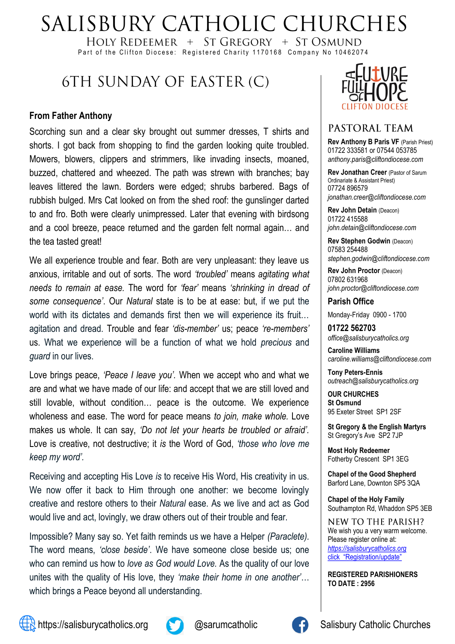# SALISBURY CATHOLIC CHURCHES

HOLY REDEEMER  $+$  ST GREGORY  $+$  ST OSMUND Part of the Clifton Diocese: Registered Charity 1170168 Company No 10462074

## 6TH SUNDAY OF EASTER (C)

#### **From Father Anthony**

Scorching sun and a clear sky brought out summer dresses, T shirts and shorts. I got back from shopping to find the garden looking quite troubled. Mowers, blowers, clippers and strimmers, like invading insects, moaned, buzzed, chattered and wheezed. The path was strewn with branches; bay leaves littered the lawn. Borders were edged; shrubs barbered. Bags of rubbish bulged. Mrs Cat looked on from the shed roof: the gunslinger darted to and fro. Both were clearly unimpressed. Later that evening with birdsong and a cool breeze, peace returned and the garden felt normal again… and the tea tasted great!

We all experience trouble and fear. Both are very unpleasant: they leave us anxious, irritable and out of sorts. The word *'troubled'* means *agitating what needs to remain at ease.* The word for *'fear'* means *'shrinking in dread of some consequence'*. Our *Natural* state is to be at ease: but, if we put the world with its dictates and demands first then we will experience its fruit… agitation and dread. Trouble and fear *'dis-member'* us; peace *'re-members'* us. What we experience will be a function of what we hold *precious* and *guard* in our lives.

Love brings peace, *'Peace I leave you'.* When we accept who and what we are and what we have made of our life: and accept that we are still loved and still lovable, without condition… peace is the outcome. We experience wholeness and ease. The word for peace means *to join, make whole.* Love makes us whole. It can say, *'Do not let your hearts be troubled or afraid'.* Love is creative, not destructive; it *is* the Word of God, *'those who love me keep my word'.*

Receiving and accepting His Love *is* to receive His Word, His creativity in us. We now offer it back to Him through one another: we become lovingly creative and restore others to their *Natural* ease. As we live and act as God would live and act, lovingly, we draw others out of their trouble and fear.

Impossible? Many say so. Yet faith reminds us we have a Helper *(Paraclete).* The word means, *'close beside'*. We have someone close beside us; one who can remind us how to *love as God would Love.* As the quality of our love unites with the quality of His love, they *'make their home in one another'*… which brings a Peace beyond all understanding.



#### PASTORAL TEAM

**Rev Anthony B Paris VF (Parish Priest)** 01722 333581 or 07544 053785 *anthony.paris@cliftondiocese.com*

**Rev Jonathan Creer** (Pastor of Sarum Ordinariate & Assistant Priest) 07724 896579 *jonathan.creer@cliftondiocese.com*

**Rev John Detain** (Deacon) 01722 415588 *john.detain@cliftondiocese.com*

**Rev Stephen Godwin** (Deacon) 07583 254488 *stephen.godwin@cliftondiocese.com*

**Rev John Proctor** (Deacon) 07802 631968 *john.proctor@cliftondiocese.com*

**Parish Office** 

Monday-Friday 0900 - 1700

**01722 562703** *office@salisburycatholics.org*

**Caroline Williams** *caroline.williams@cliftondiocese.com*

**Tony Peters-Ennis** *outreach@salisburycatholics.org*

**OUR CHURCHES St Osmund** 95 Exeter Street SP1 2SF

**St Gregory & the English Martyrs** St Gregory's Ave SP2 7JP

**Most Holy Redeemer**  Fotherby Crescent SP1 3EG

**Chapel of the Good Shepherd** Barford Lane, Downton SP5 3QA

**Chapel of the Holy Family** Southampton Rd, Whaddon SP5 3EB

NEW TO THE PARISH? We wish you a very warm welcome. Please register online at: *[https://salisburycatholics.org](https://p1.pamis.co.uk/salisbury/onlined01cab)*  [click "Registration/update"](https://p1.pamis.co.uk/salisbury/onlined01cab) 

**REGISTERED PARISHIONERS TO DATE : 2956**



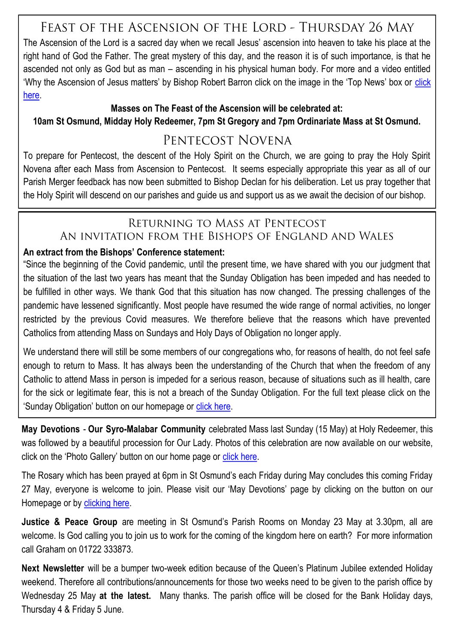### FEAST OF THE ASCENSION OF THE LORD - THURSDAY 26 MAY

The Ascension of the Lord is a sacred day when we recall Jesus' ascension into heaven to take his place at the right hand of God the Father. The great mystery of this day, and the reason it is of such importance, is that he ascended not only as God but as man – ascending in his physical human body. For more and a video entitled 'Why the Ascension of Jesus matters' by Bishop Robert Barron [click](https://salisburycatholics.org/ascension) on the image in the 'Top News' box or click [here.](https://salisburycatholics.org/ascension)

#### **Masses on The Feast of the Ascension will be celebrated at:**

**10am St Osmund, Midday Holy Redeemer, 7pm St Gregory and 7pm Ordinariate Mass at St Osmund.**

### PENTECOST NOVENA

To prepare for Pentecost, the descent of the Holy Spirit on the Church, we are going to pray the Holy Spirit Novena after each Mass from Ascension to Pentecost. It seems especially appropriate this year as all of our Parish Merger feedback has now been submitted to Bishop Declan for his deliberation. Let us pray together that the Holy Spirit will descend on our parishes and guide us and support us as we await the decision of our bishop.

### RETURNING TO MASS AT PENTECOST AN INVITATION FROM THE BISHOPS OF ENGLAND AND WALES

#### **An extract from the Bishops' Conference statement:**

"Since the beginning of the Covid pandemic, until the present time, we have shared with you our judgment that the situation of the last two years has meant that the Sunday Obligation has been impeded and has needed to be fulfilled in other ways. We thank God that this situation has now changed. The pressing challenges of the pandemic have lessened significantly. Most people have resumed the wide range of normal activities, no longer restricted by the previous Covid measures. We therefore believe that the reasons which have prevented Catholics from attending Mass on Sundays and Holy Days of Obligation no longer apply.

We understand there will still be some members of our congregations who, for reasons of health, do not feel safe enough to return to Mass. It has always been the understanding of the Church that when the freedom of any Catholic to attend Mass in person is impeded for a serious reason, because of situations such as ill health, care for the sick or legitimate fear, this is not a breach of the Sunday Obligation. For the full text please click on the 'Sunday Obligation' button on our homepage or [click here.](https://salisburycatholics.org/blog/spring-plenary-2022-resolution-returning-mass-pentecost)

**May Devotions** - **Our Syro-Malabar Community** celebrated Mass last Sunday (15 May) at Holy Redeemer, this was followed by a beautiful procession for Our Lady. Photos of this celebration are now available on our website, click on the 'Photo Gallery' button on our home page or [click here.](https://salisburycatholics.org/syro-malabar-mass-procession)

The Rosary which has been prayed at 6pm in St Osmund's each Friday during May concludes this coming Friday 27 May, everyone is welcome to join. Please visit our 'May Devotions' page by clicking on the button on our Homepage or by [clicking here.](https://salisburycatholics.org/may-devotions)

**Justice & Peace Group** are meeting in St Osmund's Parish Rooms on Monday 23 May at 3.30pm, all are welcome. Is God calling you to join us to work for the coming of the kingdom here on earth? For more information call Graham on 01722 333873.

**Next Newsletter** will be a bumper two-week edition because of the Queen's Platinum Jubilee extended Holiday weekend. Therefore all contributions/announcements for those two weeks need to be given to the parish office by Wednesday 25 May **at the latest.** Many thanks. The parish office will be closed for the Bank Holiday days, Thursday 4 & Friday 5 June.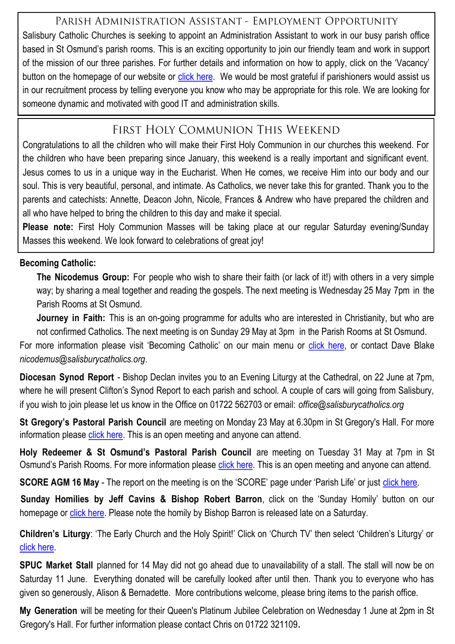### PARISH ADMINISTRATION ASSISTANT - EMPLOYMENT OPPORTUNITY

Salisbury Catholic Churches is seeking to appoint an Administration Assistant to work in our busy parish office based in St Osmund's parish rooms. This is an exciting opportunity to join our friendly team and work in support of the mission of our three parishes. For further details and information on how to apply, click on the 'Vacancy' button on the homepage of our website or [click here.](https://salisburycatholics.org/vacancies) We would be most grateful if parishioners would assist us in our recruitment process by telling everyone you know who may be appropriate for this role. We are looking for someone dynamic and motivated with good IT and administration skills.

### FIRST HOLY COMMUNION THIS WEEKEND

Congratulations to all the children who will make their First Holy Communion in our churches this weekend. For the children who have been preparing since January, this weekend is a really important and significant event. Jesus comes to us in a unique way in the Eucharist. When He comes, we receive Him into our body and our soul. This is very beautiful, personal, and intimate. As Catholics, we never take this for granted. Thank you to the parents and catechists: Annette, Deacon John, Nicole, Frances & Andrew who have prepared the children and all who have helped to bring the children to this day and make it special.

**Please note:** First Holy Communion Masses will be taking place at our regular Saturday evening/Sunday Masses this weekend. We look forward to celebrations of great joy!

#### **Becoming Catholic:**

**The Nicodemus Group:** For people who wish to share their faith (or lack of it!) with others in a very simple way; by sharing a meal together and reading the gospels. The next meeting is Wednesday 25 May 7pm in the Parish Rooms at St Osmund.

**Journey in Faith:** This is an on-going programme for adults who are interested in Christianity, but who are not confirmed Catholics. The next meeting is on Sunday 29 May at 3pm in the Parish Rooms at St Osmund.

For more information please visit 'Becoming Catholic' on our main menu or [click here,](https://salisburycatholics.org/becoming-catholic-0) or contact Dave Blake *nicodemus@salisburycatholics.org*.

**Diocesan Synod Report** - Bishop Declan invites you to an Evening Liturgy at the Cathedral, on 22 June at 7pm, where he will present Clifton's Synod Report to each parish and school. A couple of cars will going from Salisbury, if you wish to join please let us know in the Office on 01722 562703 or email: *office@salisburycatholics.org* 

**St Gregory's Pastoral Parish Council** are meeting on Monday 23 May at 6.30pm in St Gregory's Hall. For more information please [click here.](https://salisburycatholics.org/ppc) This is an open meeting and anyone can attend.

**Holy Redeemer & St Osmund's Pastoral Parish Council** are meeting on Tuesday 31 May at 7pm in St Osmund's Parish Rooms. For more information please [click here.](https://salisburycatholics.org/ppc-hr-sto) This is an open meeting and anyone can attend.

**SCORE AGM 16 May** - The report on the meeting is on the 'SCORE' page under 'Parish Life' or just [click here.](https://salisburycatholics.org/score)

**Sunday Homilies by Jeff Cavins & Bishop Robert Barron, click on the 'Sunday Homily' button on our** homepage or [click here.](https://salisburycatholics.org/sunday-homily) Please note the homily by Bishop Barron is released late on a Saturday.

**Children's Liturgy**: 'The Early Church and the Holy Spirit!' Click on 'Church TV' then select 'Children's Liturgy' or [click here.](https://salisburycatholics.org/childrens-liturgy) 

**SPUC Market Stall** planned for 14 May did not go ahead due to unavailability of a stall. The stall will now be on Saturday 11 June. Everything donated will be carefully looked after until then. Thank you to everyone who has given so generously, Alison & Bernadette. More contributions welcome, please bring items to the parish office.

**My Generation** will be meeting for their Queen's Platinum Jubilee Celebration on Wednesday 1 June at 2pm in St Gregory's Hall. For further information please contact Chris on 01722 321109**.**